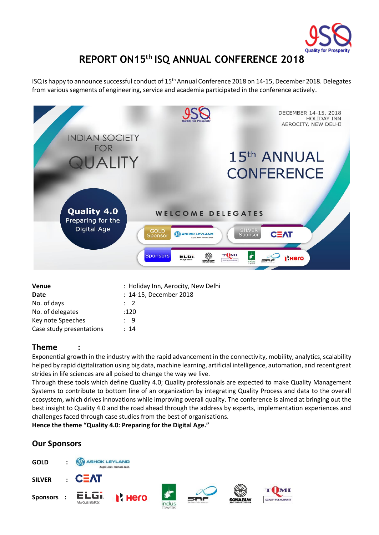

# **REPORT ON15 th ISQ ANNUAL CONFERENCE 2018**

ISQ is happy to announce successful conduct of 15th Annual Conference 2018 on 14-15, December 2018. Delegates from various segments of engineering, service and academia participated in the conference actively.



| : Holiday Inn, Aerocity, New Delhi |
|------------------------------------|
| : 14-15, December 2018             |
| $\cdot$ 2                          |
| :120                               |
| : 9                                |
| :14                                |
|                                    |

# **Theme :**

Exponential growth in the industry with the rapid advancement in the connectivity, mobility, analytics, scalability helped by rapid digitalization using big data, machine learning, artificial intelligence, automation, and recent great strides in life sciences are all poised to change the way we live.

Through these tools which define Quality 4.0; Quality professionals are expected to make Quality Management Systems to contribute to bottom line of an organization by integrating Quality Process and data to the overall ecosystem, which drives innovations while improving overall quality. The conference is aimed at bringing out the best insight to Quality 4.0 and the road ahead through the address by experts, implementation experiences and challenges faced through case studies from the best of organisations.

**Hence the theme "Quality 4.0: Preparing for the Digital Age."**

# **Our Sponsors**

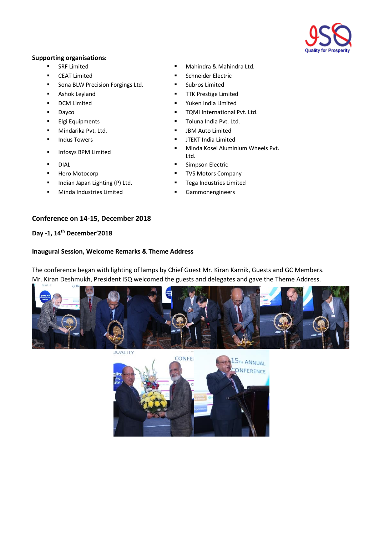

# **Supporting organisations:**

- 
- CEAT Limited Schneider Electric
- Sona BLW Precision Forgings Ltd. Subros Limited
- 
- 
- 
- 
- Mindarika Pvt. Ltd. JBM Auto Limited
- 
- 
- 
- 
- Indian Japan Lighting (P) Ltd. Tega Industries Limited
- Minda Industries Limited Gammonengineers

# **Conference on 14-15, December 2018**

# **Day -1, 14th December'2018**

# **Inaugural Session, Welcome Remarks & Theme Address**

The conference began with lighting of lamps by Chief Guest Mr. Kiran Karnik, Guests and GC Members. Mr. Kiran Deshmukh, President ISQ welcomed the guests and delegates and gave the Theme Address.



**JUALII** 



- **EXAMPLE SRF Limited THE SRF Limited THE Mahindra & Mahindra Ltd.** 
	-
	-
- Ashok Leyland  **TTK Prestige Limited**
- DCM Limited Yuken India Limited
- Dayco TQMI International Pvt. Ltd.
- Elgi Equipments Toluna India Pvt. Ltd.
	-
- Indus Towers  **JTEKT India Limited**
- Infosys BPM Limited Minda Kosei Aluminium Wheels Pvt. Ltd.
- DIAL Simpson Electric
- Hero Motocorp TVS Motors Company
	-
	-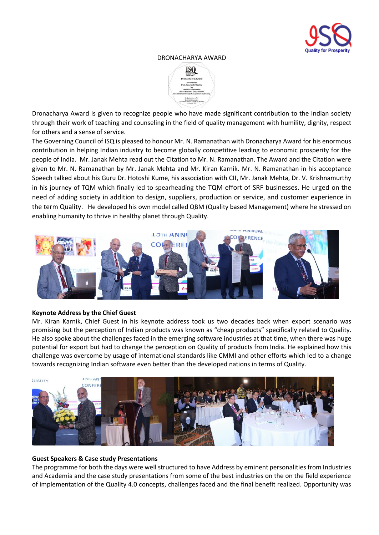

#### DRONACHARYA AWARD



Dronacharya Award is given to recognize people who have made significant contribution to the Indian society through their work of teaching and counseling in the field of quality management with humility, dignity, respect for others and a sense of service.

The Governing Council of ISQ is pleased to honour Mr. N. Ramanathan with Dronacharya Award for his enormous contribution in helping Indian industry to become globally competitive leading to economic prosperity for the people of India. Mr. Janak Mehta read out the Citation to Mr. N. Ramanathan. The Award and the Citation were given to Mr. N. Ramanathan by Mr. Janak Mehta and Mr. Kiran Karnik. Mr. N. Ramanathan in his acceptance Speech talked about his Guru Dr. Hotoshi Kume, his association with CII, Mr. Janak Mehta, Dr. V. Krishnamurthy in his journey of TQM which finally led to spearheading the TQM effort of SRF businesses. He urged on the need of adding society in addition to design, suppliers, production or service, and customer experience in the term Quality. He developed his own model called QBM (Quality based Management) where he stressed on enabling humanity to thrive in healthy planet through Quality.



# **Keynote Address by the Chief Guest**

Mr. Kiran Karnik, Chief Guest in his keynote address took us two decades back when export scenario was promising but the perception of Indian products was known as "cheap products" specifically related to Quality. He also spoke about the challenges faced in the emerging software industries at that time, when there was huge potential for export but had to change the perception on Quality of products from India. He explained how this challenge was overcome by usage of international standards like CMMI and other efforts which led to a change towards recognizing Indian software even better than the developed nations in terms of Quality.



# **Guest Speakers & Case study Presentations**

The programme for both the days were well structured to have Address by eminent personalities from Industries and Academia and the case study presentations from some of the best industries on the on the field experience of implementation of the Quality 4.0 concepts, challenges faced and the final benefit realized. Opportunity was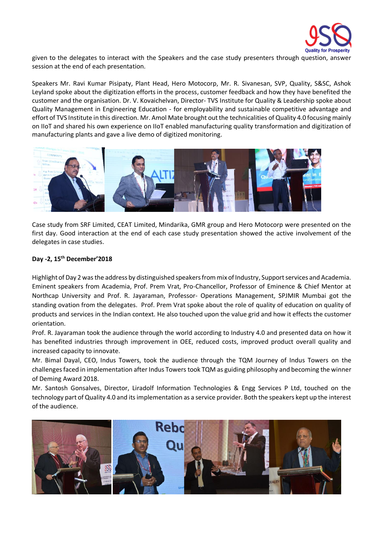

given to the delegates to interact with the Speakers and the case study presenters through question, answer session at the end of each presentation.

Speakers Mr. Ravi Kumar Pisipaty, Plant Head, Hero Motocorp, Mr. R. Sivanesan, SVP, Quality, S&SC, Ashok Leyland spoke about the digitization efforts in the process, customer feedback and how they have benefited the customer and the organisation. Dr. V. Kovaichelvan, Director- TVS Institute for Quality & Leadership spoke about Quality Management in Engineering Education - for employability and sustainable competitive advantage and effort of TVS Institute in this direction. Mr. Amol Mate brought out the technicalities of Quality 4.0 focusing mainly on IIoT and shared his own experience on IIoT enabled manufacturing quality transformation and digitization of manufacturing plants and gave a live demo of digitized monitoring.



Case study from SRF Limited, CEAT Limited, Mindarika, GMR group and Hero Motocorp were presented on the first day. Good interaction at the end of each case study presentation showed the active involvement of the delegates in case studies.

# **Day -2, 15 th December'2018**

Highlight of Day 2 was the address by distinguished speakers from mix of Industry, Support services and Academia. Eminent speakers from Academia, Prof. Prem Vrat, Pro-Chancellor, Professor of Eminence & Chief Mentor at Northcap University and Prof. R. Jayaraman, Professor- Operations Management, SPJMIR Mumbai got the standing ovation from the delegates. Prof. Prem Vrat spoke about the role of quality of education on quality of products and services in the Indian context. He also touched upon the value grid and how it effects the customer orientation.

Prof. R. Jayaraman took the audience through the world according to Industry 4.0 and presented data on how it has benefited industries through improvement in OEE, reduced costs, improved product overall quality and increased capacity to innovate.

Mr. Bimal Dayal, CEO, Indus Towers, took the audience through the TQM Journey of Indus Towers on the challenges faced in implementation after Indus Towers took TQM as guiding philosophy and becoming the winner of Deming Award 2018.

Mr. Santosh Gonsalves, Director, Liradolf Information Technologies & Engg Services P Ltd, touched on the technology part of Quality 4.0 and its implementation as a service provider. Both the speakers kept up the interest of the audience.